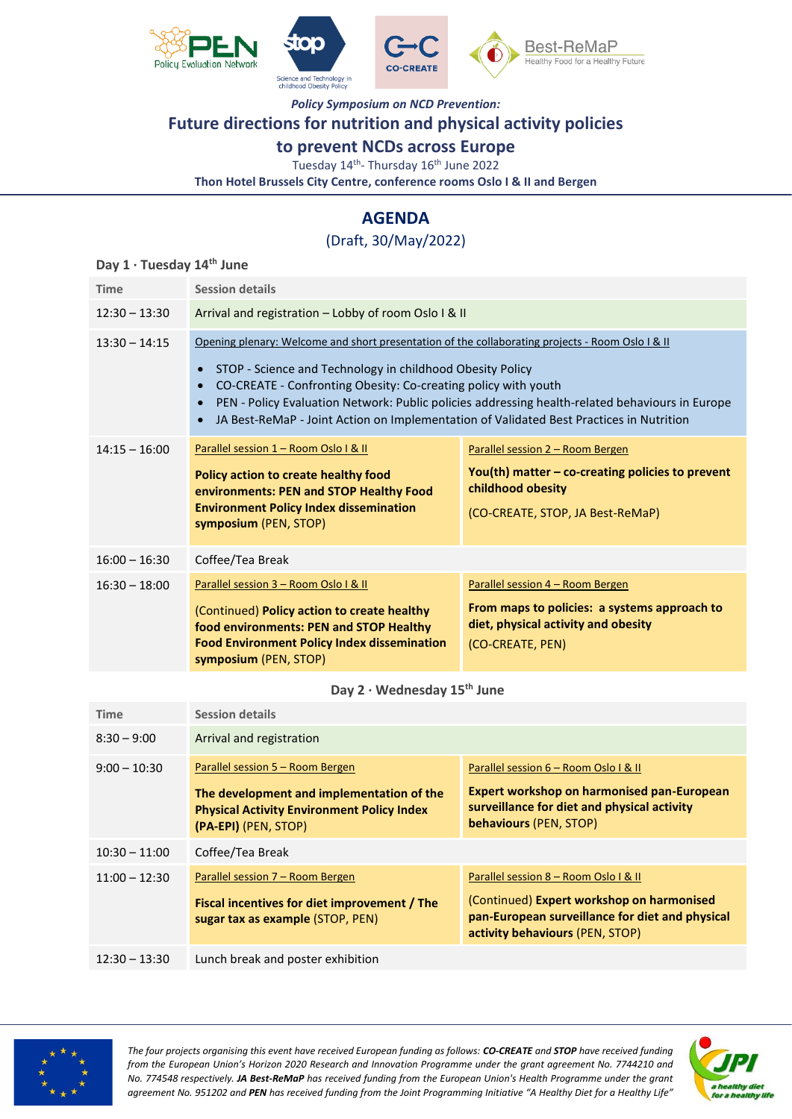





*Policy Symposium on NCD Prevention:*

## **Future directions for nutrition and physical activity policies**

### **to prevent NCDs across Europe**

Tuesday 14<sup>th</sup>- Thursday 16<sup>th</sup> June 2022

**Thon Hotel Brussels City Centre, conference rooms Oslo I & II and Bergen**

# **AGENDA**

## (Draft, 30/May/2022)

#### **Day 1 · Tuesday 14th June**

| <b>Time</b>     | <b>Session details</b>                                                                                                                                                                                                                                                                                                                                                                                                                                                            |                                                                                                                                                 |  |
|-----------------|-----------------------------------------------------------------------------------------------------------------------------------------------------------------------------------------------------------------------------------------------------------------------------------------------------------------------------------------------------------------------------------------------------------------------------------------------------------------------------------|-------------------------------------------------------------------------------------------------------------------------------------------------|--|
| $12:30 - 13:30$ | Arrival and registration - Lobby of room Oslo I & II                                                                                                                                                                                                                                                                                                                                                                                                                              |                                                                                                                                                 |  |
| $13:30 - 14:15$ | Opening plenary: Welcome and short presentation of the collaborating projects - Room Oslo I & II<br>STOP - Science and Technology in childhood Obesity Policy<br>$\bullet$<br>CO-CREATE - Confronting Obesity: Co-creating policy with youth<br>$\bullet$<br>PEN - Policy Evaluation Network: Public policies addressing health-related behaviours in Europe<br>$\bullet$<br>JA Best-ReMaP - Joint Action on Implementation of Validated Best Practices in Nutrition<br>$\bullet$ |                                                                                                                                                 |  |
| $14:15 - 16:00$ | Parallel session 1 - Room Oslo I & II<br>Policy action to create healthy food<br>environments: PEN and STOP Healthy Food<br><b>Environment Policy Index dissemination</b><br>symposium (PEN, STOP)                                                                                                                                                                                                                                                                                | Parallel session 2 - Room Bergen<br>You(th) matter $-$ co-creating policies to prevent<br>childhood obesity<br>(CO-CREATE, STOP, JA Best-ReMaP) |  |
| $16:00 - 16:30$ | Coffee/Tea Break                                                                                                                                                                                                                                                                                                                                                                                                                                                                  |                                                                                                                                                 |  |
| $16:30 - 18:00$ | Parallel session 3 - Room Oslo I & II<br>(Continued) Policy action to create healthy<br>food environments: PEN and STOP Healthy<br><b>Food Environment Policy Index dissemination</b><br>symposium (PEN, STOP)                                                                                                                                                                                                                                                                    | Parallel session 4 – Room Bergen<br>From maps to policies: a systems approach to<br>diet, physical activity and obesity<br>(CO-CREATE, PEN)     |  |

**Day 2 · Wednesday 15th June**

| Time            | <b>Session details</b>                                                                                                                                     |                                                                                                                                                                          |
|-----------------|------------------------------------------------------------------------------------------------------------------------------------------------------------|--------------------------------------------------------------------------------------------------------------------------------------------------------------------------|
| $8:30 - 9:00$   | Arrival and registration                                                                                                                                   |                                                                                                                                                                          |
| $9:00 - 10:30$  | Parallel session 5 – Room Bergen<br>The development and implementation of the<br><b>Physical Activity Environment Policy Index</b><br>(PA-EPI) (PEN, STOP) | Parallel session 6 – Room Oslo I & II<br>Expert workshop on harmonised pan-European<br>surveillance for diet and physical activity<br>behaviours (PEN, STOP)             |
| $10:30 - 11:00$ | Coffee/Tea Break                                                                                                                                           |                                                                                                                                                                          |
| $11:00 - 12:30$ | Parallel session 7 – Room Bergen<br>Fiscal incentives for diet improvement / The<br>sugar tax as example (STOP, PEN)                                       | Parallel session 8 – Room Oslo I & II<br>(Continued) Expert workshop on harmonised<br>pan-European surveillance for diet and physical<br>activity behaviours (PEN, STOP) |
| $12:30 - 13:30$ | Lunch break and poster exhibition                                                                                                                          |                                                                                                                                                                          |



*The four projects organising this event have received European funding as follows: CO-CREATE and STOP have received funding from the European Union's Horizon 2020 Research and Innovation Programme under the grant agreement No. 7744210 and No. 774548 respectively. JA Best-ReMaP has received funding from the European Union's Health Programme under the grant agreement No. 951202 and PEN has received funding from the Joint Programming Initiative "A Healthy Diet for a Healthy Life"* 

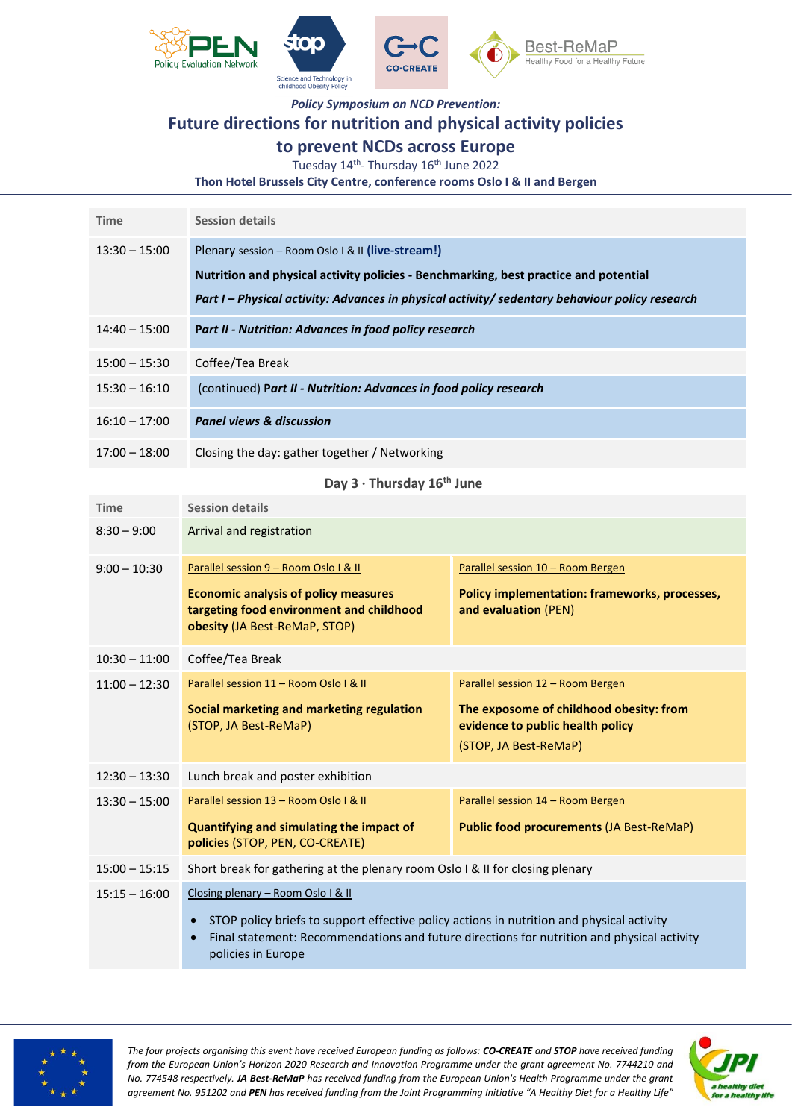

*Policy Symposium on NCD Prevention:*

## **Future directions for nutrition and physical activity policies**

### **to prevent NCDs across Europe**

Tuesday 14<sup>th</sup>- Thursday 16<sup>th</sup> June 2022

**Thon Hotel Brussels City Centre, conference rooms Oslo I & II and Bergen**

| <b>Time</b>     | <b>Session details</b>                                                                                                                                                                                                                      |
|-----------------|---------------------------------------------------------------------------------------------------------------------------------------------------------------------------------------------------------------------------------------------|
| $13:30 - 15:00$ | Plenary session - Room Oslo I & II (live-stream!)<br>Nutrition and physical activity policies - Benchmarking, best practice and potential<br>Part I – Physical activity: Advances in physical activity/ sedentary behaviour policy research |
| $14:40 - 15:00$ | Part II - Nutrition: Advances in food policy research                                                                                                                                                                                       |
| $15:00 - 15:30$ | Coffee/Tea Break                                                                                                                                                                                                                            |
| $15:30 - 16:10$ | (continued) Part II - Nutrition: Advances in food policy research                                                                                                                                                                           |
| $16:10 - 17:00$ | <b>Panel views &amp; discussion</b>                                                                                                                                                                                                         |
| $17:00 - 18:00$ | Closing the day: gather together / Networking                                                                                                                                                                                               |

### **Day 3 · Thursday 16th June**

| <b>Time</b>     | <b>Session details</b>                                                                                                                                                                                                                                           |                                                                                                                                           |  |
|-----------------|------------------------------------------------------------------------------------------------------------------------------------------------------------------------------------------------------------------------------------------------------------------|-------------------------------------------------------------------------------------------------------------------------------------------|--|
| $8:30 - 9:00$   | Arrival and registration                                                                                                                                                                                                                                         |                                                                                                                                           |  |
| $9:00 - 10:30$  | Parallel session 9 - Room Oslo I & II<br><b>Economic analysis of policy measures</b><br>targeting food environment and childhood<br>obesity (JA Best-ReMaP, STOP)                                                                                                | Parallel session 10 - Room Bergen<br>Policy implementation: frameworks, processes,<br>and evaluation (PEN)                                |  |
| $10:30 - 11:00$ | Coffee/Tea Break                                                                                                                                                                                                                                                 |                                                                                                                                           |  |
| $11:00 - 12:30$ | Parallel session 11 - Room Oslo I & II<br>Social marketing and marketing regulation<br>(STOP, JA Best-ReMaP)                                                                                                                                                     | Parallel session 12 - Room Bergen<br>The exposome of childhood obesity: from<br>evidence to public health policy<br>(STOP, JA Best-ReMaP) |  |
| $12:30 - 13:30$ | Lunch break and poster exhibition                                                                                                                                                                                                                                |                                                                                                                                           |  |
| $13:30 - 15:00$ | Parallel session 13 - Room Oslo I & II<br>Quantifying and simulating the impact of<br>policies (STOP, PEN, CO-CREATE)                                                                                                                                            | Parallel session 14 - Room Bergen<br><b>Public food procurements (JA Best-ReMaP)</b>                                                      |  |
| $15:00 - 15:15$ | Short break for gathering at the plenary room Oslo I & II for closing plenary                                                                                                                                                                                    |                                                                                                                                           |  |
| $15:15 - 16:00$ | Closing plenary - Room Oslo I & II<br>STOP policy briefs to support effective policy actions in nutrition and physical activity<br>$\bullet$<br>Final statement: Recommendations and future directions for nutrition and physical activity<br>policies in Europe |                                                                                                                                           |  |



*The four projects organising this event have received European funding as follows: CO-CREATE and STOP have received funding from the European Union's Horizon 2020 Research and Innovation Programme under the grant agreement No. 7744210 and No. 774548 respectively. JA Best-ReMaP has received funding from the European Union's Health Programme under the grant agreement No. 951202 and PEN has received funding from the Joint Programming Initiative "A Healthy Diet for a Healthy Life"*